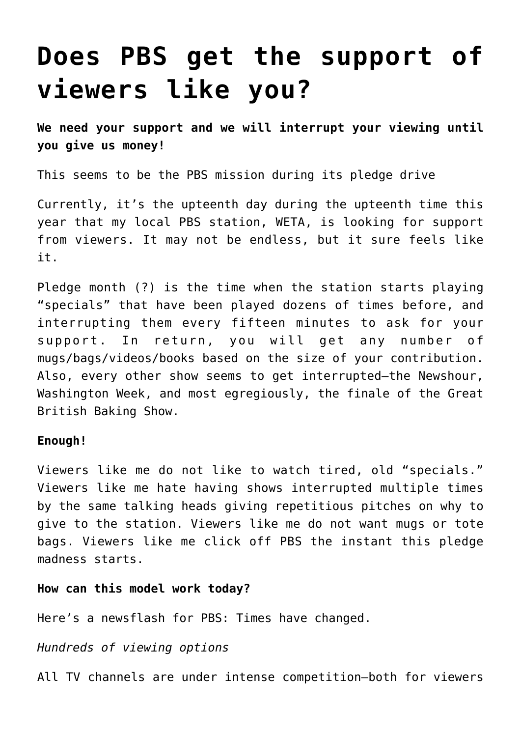# **[Does PBS get the support of](https://deborahbrody.com/2017/08/does-pbs-get-the-support-of-viewers-like-you/) [viewers like you?](https://deborahbrody.com/2017/08/does-pbs-get-the-support-of-viewers-like-you/)**

**We need your support and we will interrupt your viewing until you give us money!**

This seems to be the PBS mission during its pledge drive

Currently, it's the upteenth day during the upteenth time this year that my local PBS station, WETA, is looking for support from viewers. It may not be endless, but it sure feels like it.

Pledge month (?) is the time when the station starts playing "specials" that have been played dozens of times before, and interrupting them every fifteen minutes to ask for your support. In return, you will get any number of mugs/bags/videos/books based on the size of your contribution. Also, every other show seems to get interrupted–the Newshour, Washington Week, and most egregiously, the finale of the Great British Baking Show.

#### **Enough!**

Viewers like me do not like to watch tired, old "specials." Viewers like me hate having shows interrupted multiple times by the same talking heads giving repetitious pitches on why to give to the station. Viewers like me do not want mugs or tote bags. Viewers like me click off PBS the instant this pledge madness starts.

#### **How can this model work today?**

Here's a newsflash for PBS: Times have changed.

### *Hundreds of viewing options*

All TV channels are under intense competition—both for viewers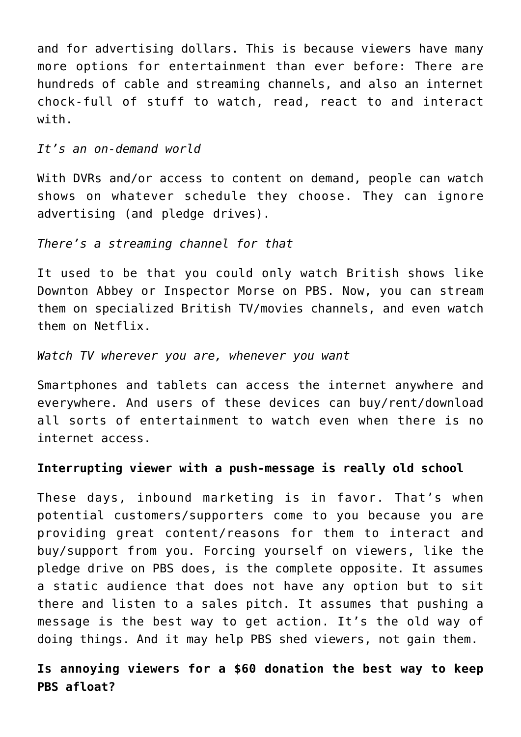and for advertising dollars. This is because viewers have many more options for entertainment than ever before: There are hundreds of cable and streaming channels, and also an internet chock-full of stuff to watch, read, react to and interact with.

*It's an on-demand world*

With DVRs and/or access to content on demand, people can watch shows on whatever schedule they choose. They can ignore advertising (and pledge drives).

### *There's a streaming channel for that*

It used to be that you could only watch British shows like Downton Abbey or Inspector Morse on PBS. Now, you can stream them on specialized British TV/movies channels, and even watch them on Netflix.

*Watch TV wherever you are, whenever you want*

Smartphones and tablets can access the internet anywhere and everywhere. And users of these devices can buy/rent/download all sorts of entertainment to watch even when there is no internet access.

## **Interrupting viewer with a push-message is really old school**

These days, inbound marketing is in favor. That's when potential customers/supporters come to you because you are providing great content/reasons for them to interact and buy/support from you. Forcing yourself on viewers, like the pledge drive on PBS does, is the complete opposite. It assumes a static audience that does not have any option but to sit there and listen to a sales pitch. It assumes that pushing a message is the best way to get action. It's the old way of doing things. And it may help PBS shed viewers, not gain them.

**Is annoying viewers for a \$60 donation the best way to keep PBS afloat?**